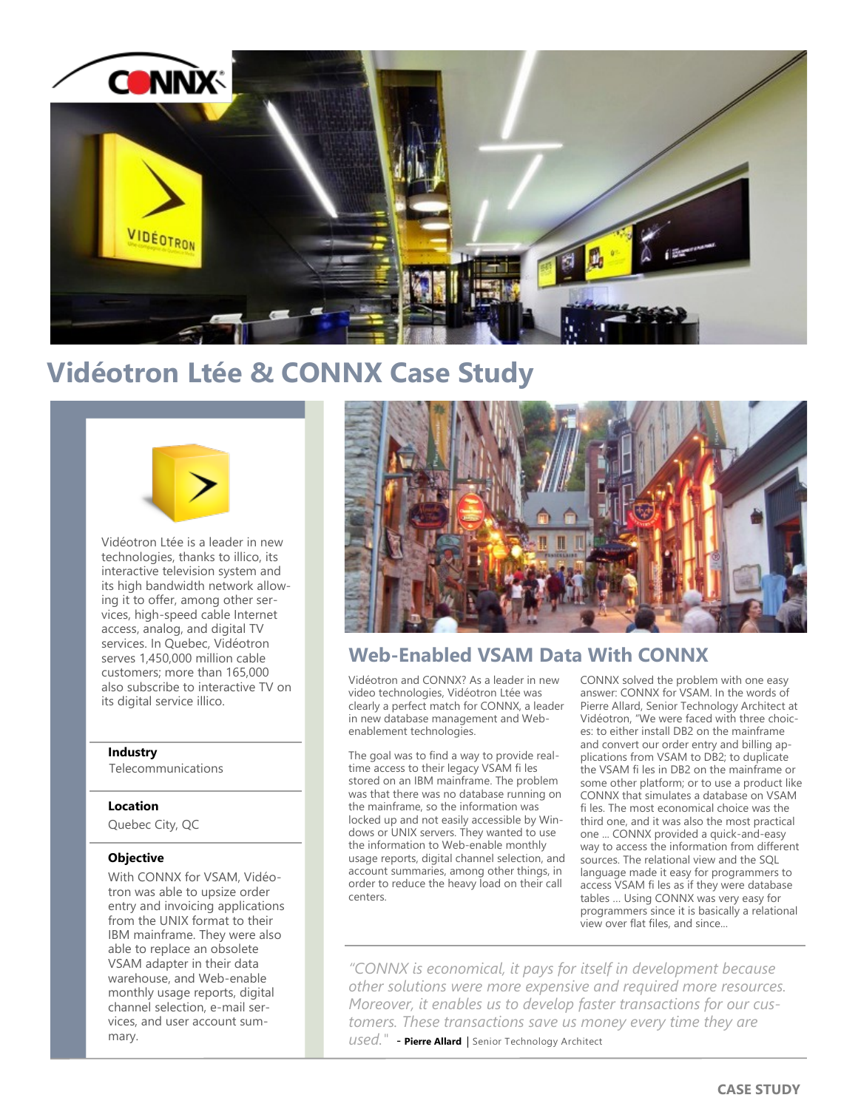

# **Vidéotron Ltée & CONNX Case Study**



Vidéotron Ltée is a leader in new technologies, thanks to illico, its interactive television system and its high bandwidth network allowing it to offer, among other services, high-speed cable Internet access, analog, and digital TV services. In Quebec, Vidéotron serves 1,450,000 million cable customers; more than 165,000 also subscribe to interactive TV on its digital service illico.

### **Industry**

Telecommunications

### **Location**

Quebec City, QC

### **Objective**

With CONNX for VSAM, Vidéotron was able to upsize order entry and invoicing applications from the UNIX format to their IBM mainframe. They were also able to replace an obsolete VSAM adapter in their data warehouse, and Web-enable monthly usage reports, digital channel selection, e-mail services, and user account summary.



## **Web-Enabled VSAM Data With CONNX**

Vidéotron and CONNX? As a leader in new video technologies, Vidéotron Ltée was clearly a perfect match for CONNX, a leader in new database management and Webenablement technologies.

The goal was to find a way to provide realtime access to their legacy VSAM fi les stored on an IBM mainframe. The problem was that there was no database running on the mainframe, so the information was locked up and not easily accessible by Windows or UNIX servers. They wanted to use the information to Web-enable monthly usage reports, digital channel selection, and account summaries, among other things, in order to reduce the heavy load on their call centers.

CONNX solved the problem with one easy answer: CONNX for VSAM. In the words of Pierre Allard, Senior Technology Architect at Vidéotron, "We were faced with three choices: to either install DB2 on the mainframe and convert our order entry and billing applications from VSAM to DB2; to duplicate the VSAM fi les in DB2 on the mainframe or some other platform; or to use a product like CONNX that simulates a database on VSAM fi les. The most economical choice was the third one, and it was also the most practical one ... CONNX provided a quick-and-easy way to access the information from different sources. The relational view and the SQL language made it easy for programmers to access VSAM fi les as if they were database tables … Using CONNX was very easy for programmers since it is basically a relational view over flat files, and since...

*"CONNX is economical, it pays for itself in development because other solutions were more expensive and required more resources. Moreover, it enables us to develop faster transactions for our customers. These transactions save us money every time they are used.*" - Pierre Allard | Senior Technology Architect